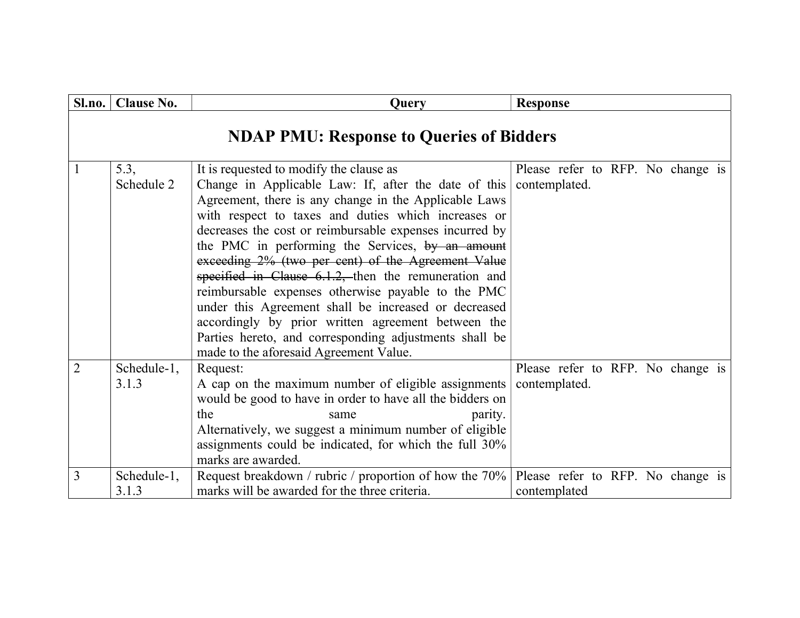| Sl.no.         | <b>Clause No.</b>    | <b>Query</b>                                                                                                                                                                                                                                                                                                                                                                                                                                                                                                                                                                                                                                                                                                            | <b>Response</b>                                    |
|----------------|----------------------|-------------------------------------------------------------------------------------------------------------------------------------------------------------------------------------------------------------------------------------------------------------------------------------------------------------------------------------------------------------------------------------------------------------------------------------------------------------------------------------------------------------------------------------------------------------------------------------------------------------------------------------------------------------------------------------------------------------------------|----------------------------------------------------|
|                |                      | <b>NDAP PMU: Response to Queries of Bidders</b>                                                                                                                                                                                                                                                                                                                                                                                                                                                                                                                                                                                                                                                                         |                                                    |
|                | 5.3,<br>Schedule 2   | It is requested to modify the clause as<br>Change in Applicable Law: If, after the date of this<br>Agreement, there is any change in the Applicable Laws<br>with respect to taxes and duties which increases or<br>decreases the cost or reimbursable expenses incurred by<br>the PMC in performing the Services, by an amount<br>exceeding 2% (two per cent) of the Agreement Value<br>specified in Clause $6.1.2$ , then the remuneration and<br>reimbursable expenses otherwise payable to the PMC<br>under this Agreement shall be increased or decreased<br>accordingly by prior written agreement between the<br>Parties hereto, and corresponding adjustments shall be<br>made to the aforesaid Agreement Value. | Please refer to RFP. No change is<br>contemplated. |
| $\overline{2}$ | Schedule-1,<br>3.1.3 | Request:<br>A cap on the maximum number of eligible assignments<br>would be good to have in order to have all the bidders on<br>the<br>parity.<br>same<br>Alternatively, we suggest a minimum number of eligible<br>assignments could be indicated, for which the full 30%<br>marks are awarded.                                                                                                                                                                                                                                                                                                                                                                                                                        | Please refer to RFP. No change is<br>contemplated. |
| 3              | Schedule-1,<br>3.1.3 | Request breakdown / rubric / proportion of how the 70%<br>marks will be awarded for the three criteria.                                                                                                                                                                                                                                                                                                                                                                                                                                                                                                                                                                                                                 | Please refer to RFP. No change is<br>contemplated  |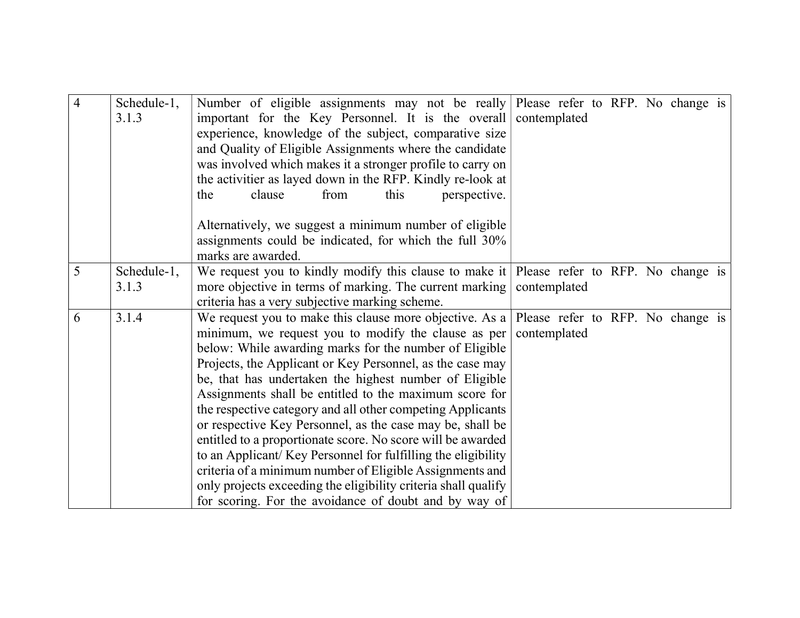| $\overline{4}$ | Schedule-1,<br>3.1.3 | Number of eligible assignments may not be really Please refer to RFP. No change is<br>important for the Key Personnel. It is the overall<br>experience, knowledge of the subject, comparative size<br>and Quality of Eligible Assignments where the candidate                                                                                                                                                                                                                                                                                                                                                                                                                                                                                                                                                                                               | contemplated |  |  |  |
|----------------|----------------------|-------------------------------------------------------------------------------------------------------------------------------------------------------------------------------------------------------------------------------------------------------------------------------------------------------------------------------------------------------------------------------------------------------------------------------------------------------------------------------------------------------------------------------------------------------------------------------------------------------------------------------------------------------------------------------------------------------------------------------------------------------------------------------------------------------------------------------------------------------------|--------------|--|--|--|
|                |                      | was involved which makes it a stronger profile to carry on<br>the activitier as layed down in the RFP. Kindly re-look at<br>clause<br>from<br>this<br>perspective.<br>the                                                                                                                                                                                                                                                                                                                                                                                                                                                                                                                                                                                                                                                                                   |              |  |  |  |
|                |                      | Alternatively, we suggest a minimum number of eligible<br>assignments could be indicated, for which the full 30%<br>marks are awarded.                                                                                                                                                                                                                                                                                                                                                                                                                                                                                                                                                                                                                                                                                                                      |              |  |  |  |
| 5              | Schedule-1,<br>3.1.3 | We request you to kindly modify this clause to make it Please refer to RFP. No change is<br>more objective in terms of marking. The current marking contemplated<br>criteria has a very subjective marking scheme.                                                                                                                                                                                                                                                                                                                                                                                                                                                                                                                                                                                                                                          |              |  |  |  |
| 6              | 3.1.4                | We request you to make this clause more objective. As a   Please refer to RFP. No change is<br>minimum, we request you to modify the clause as per contemplated<br>below: While awarding marks for the number of Eligible<br>Projects, the Applicant or Key Personnel, as the case may<br>be, that has undertaken the highest number of Eligible<br>Assignments shall be entitled to the maximum score for<br>the respective category and all other competing Applicants<br>or respective Key Personnel, as the case may be, shall be<br>entitled to a proportionate score. No score will be awarded<br>to an Applicant/Key Personnel for fulfilling the eligibility<br>criteria of a minimum number of Eligible Assignments and<br>only projects exceeding the eligibility criteria shall qualify<br>for scoring. For the avoidance of doubt and by way of |              |  |  |  |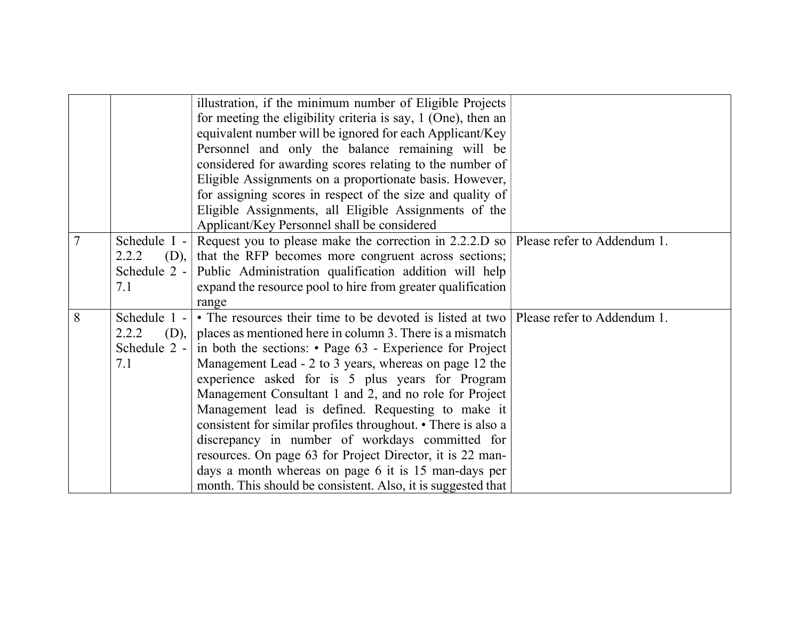|   |                               | illustration, if the minimum number of Eligible Projects<br>for meeting the eligibility criteria is say, 1 (One), then an<br>equivalent number will be ignored for each Applicant/Key<br>Personnel and only the balance remaining will be<br>considered for awarding scores relating to the number of<br>Eligible Assignments on a proportionate basis. However,<br>for assigning scores in respect of the size and quality of<br>Eligible Assignments, all Eligible Assignments of the<br>Applicant/Key Personnel shall be considered |  |
|---|-------------------------------|----------------------------------------------------------------------------------------------------------------------------------------------------------------------------------------------------------------------------------------------------------------------------------------------------------------------------------------------------------------------------------------------------------------------------------------------------------------------------------------------------------------------------------------|--|
|   | Schedule I -<br>2.2.2<br>(D), | Request you to please make the correction in 2.2.2.D so Please refer to Addendum 1.<br>that the RFP becomes more congruent across sections;                                                                                                                                                                                                                                                                                                                                                                                            |  |
|   | Schedule 2 -                  | Public Administration qualification addition will help                                                                                                                                                                                                                                                                                                                                                                                                                                                                                 |  |
|   | 7.1                           | expand the resource pool to hire from greater qualification                                                                                                                                                                                                                                                                                                                                                                                                                                                                            |  |
|   |                               | range                                                                                                                                                                                                                                                                                                                                                                                                                                                                                                                                  |  |
| 8 | Schedule 1 -                  | • The resources their time to be devoted is listed at two   Please refer to Addendum 1.                                                                                                                                                                                                                                                                                                                                                                                                                                                |  |
|   | 2.2.2                         | $(D)$ ,   places as mentioned here in column 3. There is a mismatch                                                                                                                                                                                                                                                                                                                                                                                                                                                                    |  |
|   | Schedule 2 -                  | in both the sections: $\cdot$ Page 63 - Experience for Project                                                                                                                                                                                                                                                                                                                                                                                                                                                                         |  |
|   | 7.1                           | Management Lead - 2 to 3 years, whereas on page 12 the                                                                                                                                                                                                                                                                                                                                                                                                                                                                                 |  |
|   |                               | experience asked for is 5 plus years for Program                                                                                                                                                                                                                                                                                                                                                                                                                                                                                       |  |
|   |                               | Management Consultant 1 and 2, and no role for Project                                                                                                                                                                                                                                                                                                                                                                                                                                                                                 |  |
|   |                               | Management lead is defined. Requesting to make it                                                                                                                                                                                                                                                                                                                                                                                                                                                                                      |  |
|   |                               | consistent for similar profiles throughout. • There is also a                                                                                                                                                                                                                                                                                                                                                                                                                                                                          |  |
|   |                               | discrepancy in number of workdays committed for                                                                                                                                                                                                                                                                                                                                                                                                                                                                                        |  |
|   |                               | resources. On page 63 for Project Director, it is 22 man-                                                                                                                                                                                                                                                                                                                                                                                                                                                                              |  |
|   |                               | days a month whereas on page 6 it is 15 man-days per                                                                                                                                                                                                                                                                                                                                                                                                                                                                                   |  |
|   |                               | month. This should be consistent. Also, it is suggested that                                                                                                                                                                                                                                                                                                                                                                                                                                                                           |  |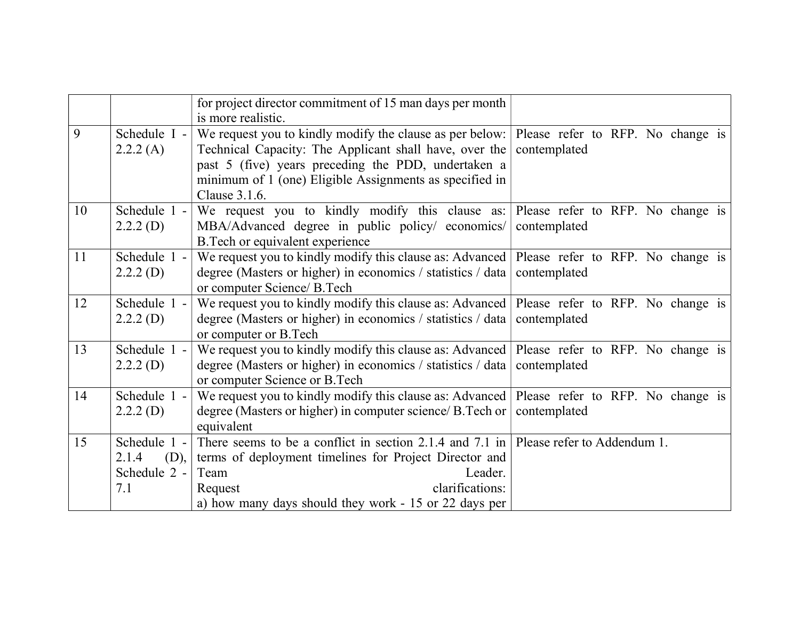|    |                                                      | for project director commitment of 15 man days per month<br>is more realistic.                                                                                                                                                                                                          |              |
|----|------------------------------------------------------|-----------------------------------------------------------------------------------------------------------------------------------------------------------------------------------------------------------------------------------------------------------------------------------------|--------------|
| 9  | Schedule I -<br>2.2.2(A)                             | We request you to kindly modify the clause as per below: Please refer to RFP. No change is<br>Technical Capacity: The Applicant shall have, over the<br>past 5 (five) years preceding the PDD, undertaken a<br>minimum of 1 (one) Eligible Assignments as specified in<br>Clause 3.1.6. | contemplated |
| 10 | Schedule 1 -<br>2.2.2(D)                             | We request you to kindly modify this clause as: Please refer to RFP. No change is<br>MBA/Advanced degree in public policy/ economics/ contemplated<br>B. Tech or equivalent experience                                                                                                  |              |
| 11 | Schedule 1 -<br>2.2.2(D)                             | We request you to kindly modify this clause as: Advanced   Please refer to RFP. No change is<br>degree (Masters or higher) in economics / statistics / data contemplated<br>or computer Science/ B.Tech                                                                                 |              |
| 12 | Schedule 1 -<br>2.2.2(D)                             | We request you to kindly modify this clause as: Advanced   Please refer to RFP. No change is<br>degree (Masters or higher) in economics / statistics / data contemplated<br>or computer or B.Tech                                                                                       |              |
| 13 | Schedule 1 -<br>2.2.2(D)                             | We request you to kindly modify this clause as: Advanced Please refer to RFP. No change is<br>degree (Masters or higher) in economics / statistics / data   contemplated<br>or computer Science or B.Tech                                                                               |              |
| 14 | Schedule 1 -<br>2.2.2(D)                             | We request you to kindly modify this clause as: Advanced Please refer to RFP. No change is<br>degree (Masters or higher) in computer science/ B.Tech or  <br>equivalent                                                                                                                 | contemplated |
| 15 | Schedule 1 -<br>2.1.4<br>(D),<br>Schedule 2 -<br>7.1 | There seems to be a conflict in section 2.1.4 and 7.1 in Please refer to Addendum 1.<br>terms of deployment timelines for Project Director and<br>Team<br>Leader.<br>clarifications:<br>Request<br>a) how many days should they work - 15 or 22 days per                                |              |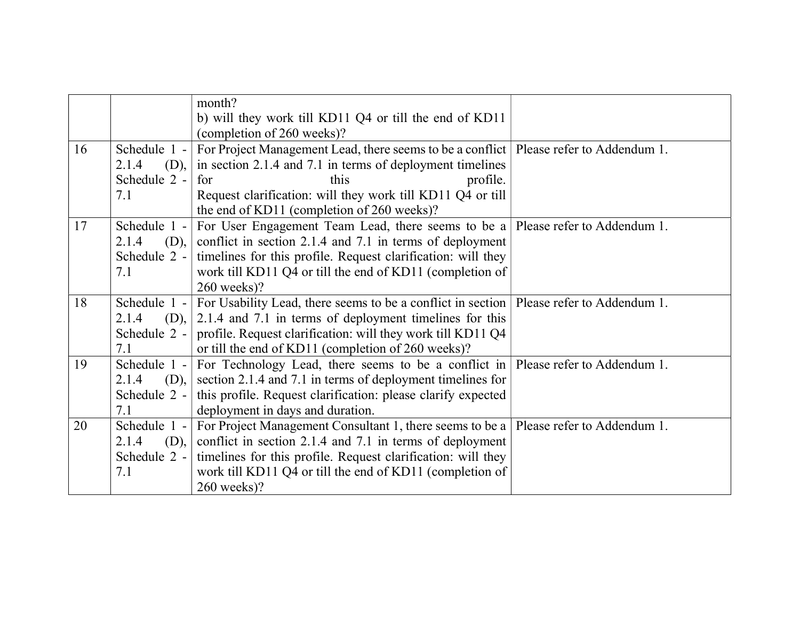|    |               | month?                                                                                  |                             |
|----|---------------|-----------------------------------------------------------------------------------------|-----------------------------|
|    |               | b) will they work till KD11 Q4 or till the end of KD11                                  |                             |
|    |               |                                                                                         |                             |
|    |               | (completion of 260 weeks)?                                                              |                             |
| 16 | Schedule 1 -  | For Project Management Lead, there seems to be a conflict   Please refer to Addendum 1. |                             |
|    | 2.1.4<br>(D), | in section 2.1.4 and 7.1 in terms of deployment timelines                               |                             |
|    | Schedule 2 -  | this<br>profile.<br>for                                                                 |                             |
|    | 7.1           | Request clarification: will they work till KD11 Q4 or till                              |                             |
|    |               | the end of KD11 (completion of 260 weeks)?                                              |                             |
| 17 | Schedule 1 -  | For User Engagement Team Lead, there seems to be a                                      | Please refer to Addendum 1. |
|    | 2.1.4<br>(D), | conflict in section 2.1.4 and 7.1 in terms of deployment                                |                             |
|    | Schedule 2 -  | timelines for this profile. Request clarification: will they                            |                             |
|    | 7.1           | work till KD11 Q4 or till the end of KD11 (completion of                                |                             |
|    |               | 260 weeks)?                                                                             |                             |
| 18 | Schedule 1 -  | For Usability Lead, there seems to be a conflict in section                             | Please refer to Addendum 1. |
|    | 2.1.4<br>(D), | 2.1.4 and 7.1 in terms of deployment timelines for this                                 |                             |
|    | Schedule 2 -  | profile. Request clarification: will they work till KD11 Q4                             |                             |
|    | 7.1           | or till the end of KD11 (completion of 260 weeks)?                                      |                             |
| 19 | Schedule 1 -  | For Technology Lead, there seems to be a conflict in                                    | Please refer to Addendum 1. |
|    | (D),<br>2.1.4 | section 2.1.4 and 7.1 in terms of deployment timelines for                              |                             |
|    | Schedule 2 -  | this profile. Request clarification: please clarify expected                            |                             |
|    | 7.1           | deployment in days and duration.                                                        |                             |
| 20 | Schedule 1 -  | For Project Management Consultant 1, there seems to be a                                | Please refer to Addendum 1. |
|    | 2.1.4<br>(D), | conflict in section 2.1.4 and 7.1 in terms of deployment                                |                             |
|    | Schedule 2 -  | timelines for this profile. Request clarification: will they                            |                             |
|    | 7.1           | work till KD11 Q4 or till the end of KD11 (completion of                                |                             |
|    |               | $260$ weeks)?                                                                           |                             |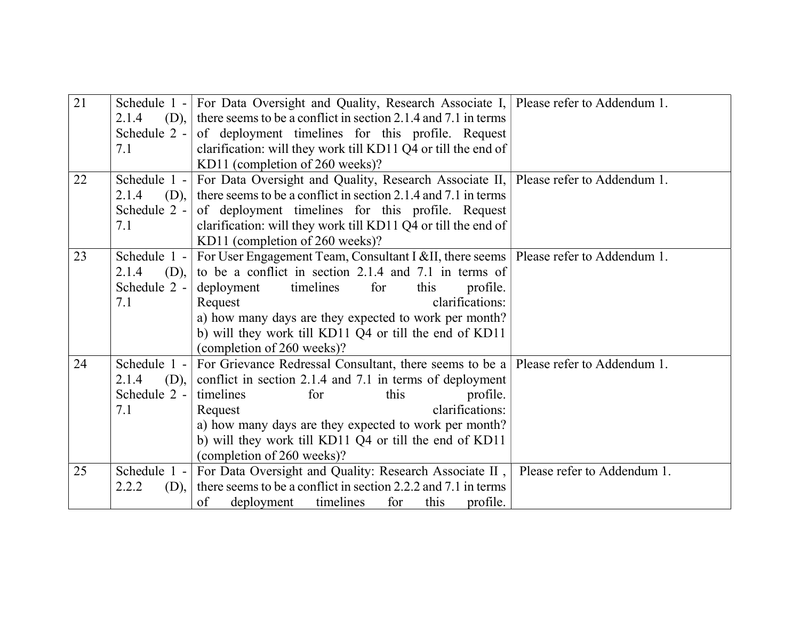| 21 |                       | Schedule $1 -  $ For Data Oversight and Quality, Research Associate I, Please refer to Addendum 1. |                             |
|----|-----------------------|----------------------------------------------------------------------------------------------------|-----------------------------|
|    | 2.1.4<br>$(D), \vert$ | there seems to be a conflict in section 2.1.4 and 7.1 in terms                                     |                             |
|    | Schedule $2 -$        | of deployment timelines for this profile. Request                                                  |                             |
|    | 7.1                   | clarification: will they work till KD11 Q4 or till the end of                                      |                             |
|    |                       | KD11 (completion of 260 weeks)?                                                                    |                             |
| 22 | Schedule $1 -$        | For Data Oversight and Quality, Research Associate II, Please refer to Addendum 1.                 |                             |
|    | 2.1.4<br>(D),         | there seems to be a conflict in section 2.1.4 and 7.1 in terms                                     |                             |
|    | Schedule $2 -$        | of deployment timelines for this profile. Request                                                  |                             |
|    | 7.1                   | clarification: will they work till KD11 Q4 or till the end of                                      |                             |
|    |                       | KD11 (completion of 260 weeks)?                                                                    |                             |
| 23 | Schedule $1 -$        | For User Engagement Team, Consultant I &II, there seems   Please refer to Addendum 1.              |                             |
|    | (D),<br>2.1.4         | to be a conflict in section 2.1.4 and 7.1 in terms of                                              |                             |
|    | Schedule $2 -$        | timelines<br>for<br>deployment<br>this<br>profile.                                                 |                             |
|    | 7.1                   | clarifications:<br>Request                                                                         |                             |
|    |                       | a) how many days are they expected to work per month?                                              |                             |
|    |                       | b) will they work till KD11 Q4 or till the end of KD11                                             |                             |
|    |                       | (completion of 260 weeks)?                                                                         |                             |
| 24 | Schedule $1 -$        | For Grievance Redressal Consultant, there seems to be a Please refer to Addendum 1.                |                             |
|    | 2.1.4<br>(D),         | conflict in section 2.1.4 and 7.1 in terms of deployment                                           |                             |
|    | Schedule $2 -$        | timelines<br>this<br>profile.<br>for                                                               |                             |
|    | 7.1                   | clarifications:<br>Request                                                                         |                             |
|    |                       | a) how many days are they expected to work per month?                                              |                             |
|    |                       | b) will they work till KD11 Q4 or till the end of KD11                                             |                             |
|    |                       | (completion of 260 weeks)?                                                                         |                             |
| 25 | Schedule $1 -$        | For Data Oversight and Quality: Research Associate II,                                             | Please refer to Addendum 1. |
|    | 2.2.2<br>$(D)$ ,      | there seems to be a conflict in section 2.2.2 and 7.1 in terms                                     |                             |
|    |                       | of<br>deployment<br>timelines<br>for<br>this<br>profile.                                           |                             |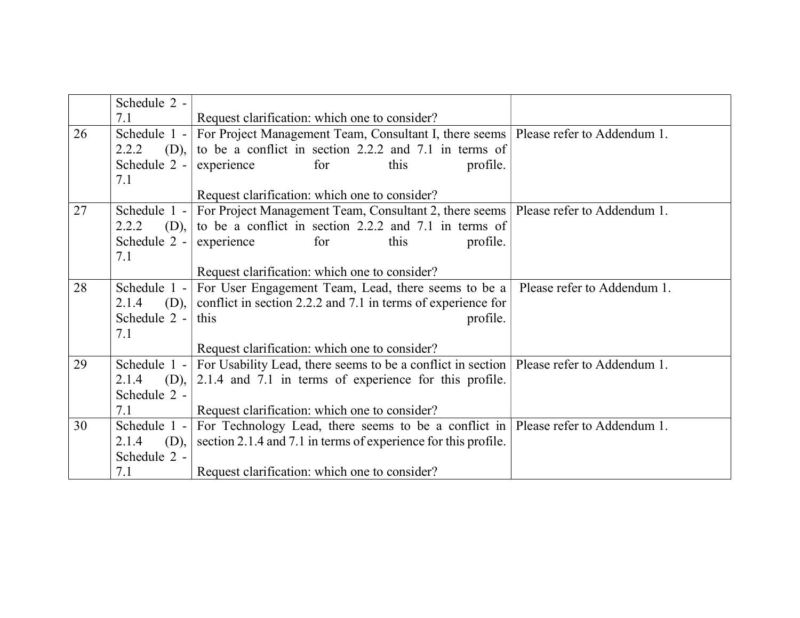|    | Schedule 2 -   |                                                                                           |                             |
|----|----------------|-------------------------------------------------------------------------------------------|-----------------------------|
|    | 7.1            | Request clarification: which one to consider?                                             |                             |
| 26 | Schedule $1 -$ | For Project Management Team, Consultant I, there seems                                    | Please refer to Addendum 1. |
|    | 2.2.2<br>(D),  | to be a conflict in section 2.2.2 and 7.1 in terms of                                     |                             |
|    | Schedule 2 -   | experience<br>for<br>this<br>profile.                                                     |                             |
|    | 7.1            |                                                                                           |                             |
|    |                | Request clarification: which one to consider?                                             |                             |
| 27 | Schedule $1 -$ | For Project Management Team, Consultant 2, there seems   Please refer to Addendum 1.      |                             |
|    | 2.2.2<br>(D),  | to be a conflict in section 2.2.2 and 7.1 in terms of                                     |                             |
|    | Schedule $2 -$ | profile.<br>experience<br>this<br>for                                                     |                             |
|    | 7.1            |                                                                                           |                             |
|    |                | Request clarification: which one to consider?                                             |                             |
| 28 | Schedule $1 -$ | For User Engagement Team, Lead, there seems to be a                                       | Please refer to Addendum 1. |
|    | 2.1.4<br>(D),  | conflict in section 2.2.2 and 7.1 in terms of experience for                              |                             |
|    | Schedule 2 -   | this<br>profile.                                                                          |                             |
|    | 7.1            |                                                                                           |                             |
|    |                | Request clarification: which one to consider?                                             |                             |
| 29 | Schedule $1 -$ | For Usability Lead, there seems to be a conflict in section   Please refer to Addendum 1. |                             |
|    | (D),<br>2.1.4  | 2.1.4 and 7.1 in terms of experience for this profile.                                    |                             |
|    | Schedule 2 -   |                                                                                           |                             |
|    | 7.1            | Request clarification: which one to consider?                                             |                             |
| 30 | Schedule 1 -   | For Technology Lead, there seems to be a conflict in Please refer to Addendum 1.          |                             |
|    | (D),<br>2.1.4  | section 2.1.4 and 7.1 in terms of experience for this profile.                            |                             |
|    | Schedule 2 -   |                                                                                           |                             |
|    | 7.1            | Request clarification: which one to consider?                                             |                             |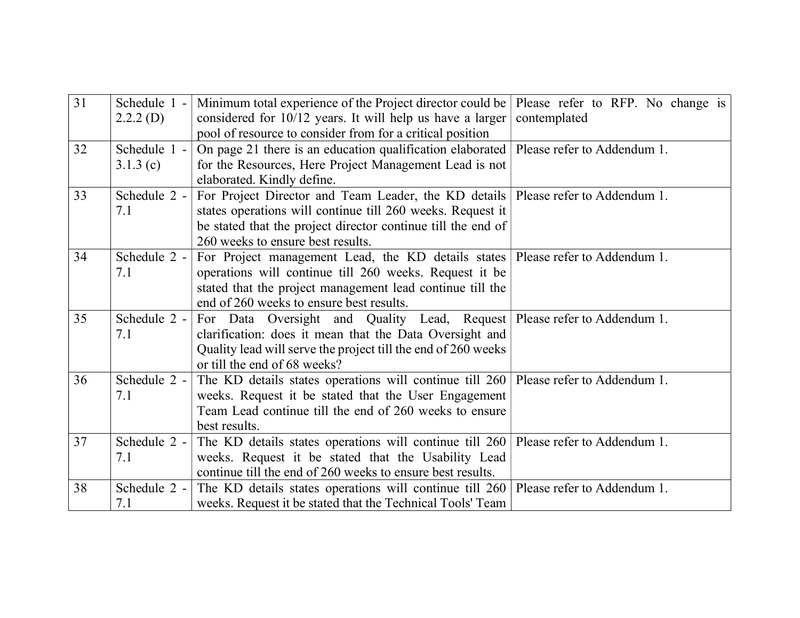| 31 | Schedule 1 -<br>2.2.2(D) | Minimum total experience of the Project director could be<br>considered for 10/12 years. It will help us have a larger<br>pool of resource to consider from for a critical position                                                                   | Please refer to RFP. No change is<br>contemplated |
|----|--------------------------|-------------------------------------------------------------------------------------------------------------------------------------------------------------------------------------------------------------------------------------------------------|---------------------------------------------------|
| 32 | Schedule 1 -<br>3.1.3(c) | On page 21 there is an education qualification elaborated<br>for the Resources, Here Project Management Lead is not<br>elaborated. Kindly define.                                                                                                     | Please refer to Addendum 1.                       |
| 33 | Schedule 2 -<br>7.1      | For Project Director and Team Leader, the KD details   Please refer to Addendum 1.<br>states operations will continue till 260 weeks. Request it<br>be stated that the project director continue till the end of<br>260 weeks to ensure best results. |                                                   |
| 34 | Schedule 2 -<br>7.1      | For Project management Lead, the KD details states   Please refer to Addendum 1.<br>operations will continue till 260 weeks. Request it be<br>stated that the project management lead continue till the<br>end of 260 weeks to ensure best results.   |                                                   |
| 35 | Schedule 2 -<br>7.1      | For Data Oversight and Quality Lead, Request   Please refer to Addendum 1.<br>clarification: does it mean that the Data Oversight and<br>Quality lead will serve the project till the end of 260 weeks<br>or till the end of 68 weeks?                |                                                   |
| 36 | Schedule 2 -<br>7.1      | The KD details states operations will continue till 260   Please refer to Addendum 1.<br>weeks. Request it be stated that the User Engagement<br>Team Lead continue till the end of 260 weeks to ensure<br>best results.                              |                                                   |
| 37 | Schedule 2 -<br>7.1      | The KD details states operations will continue till 260 Please refer to Addendum 1.<br>weeks. Request it be stated that the Usability Lead<br>continue till the end of 260 weeks to ensure best results.                                              |                                                   |
| 38 | Schedule 2 -<br>7.1      | The KD details states operations will continue till 260   Please refer to Addendum 1.<br>weeks. Request it be stated that the Technical Tools' Team                                                                                                   |                                                   |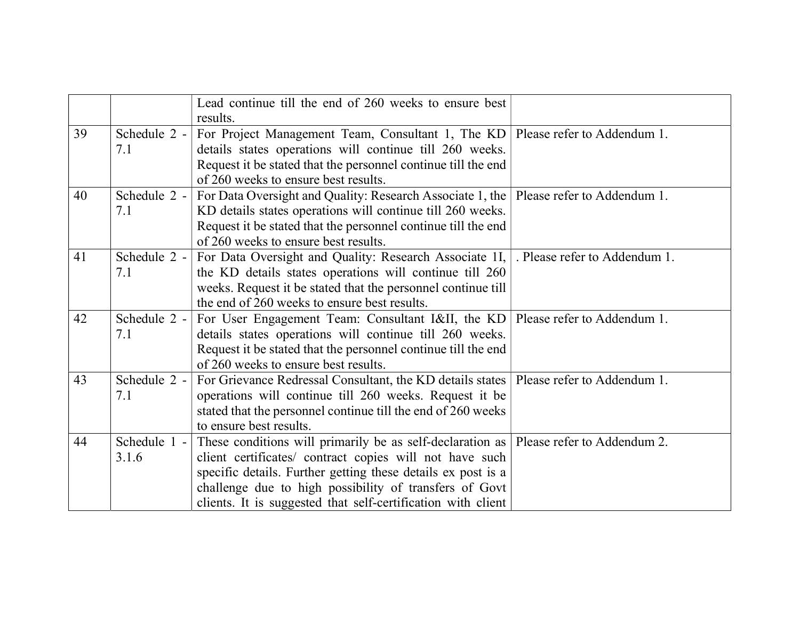|    |              | Lead continue till the end of 260 weeks to ensure best        |                               |
|----|--------------|---------------------------------------------------------------|-------------------------------|
|    |              | results.                                                      |                               |
| 39 | Schedule 2 - | For Project Management Team, Consultant 1, The KD             | Please refer to Addendum 1.   |
|    | 7.1          | details states operations will continue till 260 weeks.       |                               |
|    |              | Request it be stated that the personnel continue till the end |                               |
|    |              | of 260 weeks to ensure best results.                          |                               |
| 40 | Schedule 2 - | For Data Oversight and Quality: Research Associate 1, the     | Please refer to Addendum 1.   |
|    | 7.1          | KD details states operations will continue till 260 weeks.    |                               |
|    |              | Request it be stated that the personnel continue till the end |                               |
|    |              | of 260 weeks to ensure best results.                          |                               |
| 41 | Schedule 2 - | For Data Oversight and Quality: Research Associate 1I,        | . Please refer to Addendum 1. |
|    | 7.1          | the KD details states operations will continue till 260       |                               |
|    |              | weeks. Request it be stated that the personnel continue till  |                               |
|    |              | the end of 260 weeks to ensure best results.                  |                               |
| 42 | Schedule 2 - | For User Engagement Team: Consultant I&II, the KD             | Please refer to Addendum 1.   |
|    | 7.1          | details states operations will continue till 260 weeks.       |                               |
|    |              | Request it be stated that the personnel continue till the end |                               |
|    |              | of 260 weeks to ensure best results.                          |                               |
| 43 | Schedule 2 - | For Grievance Redressal Consultant, the KD details states     | Please refer to Addendum 1.   |
|    | 7.1          | operations will continue till 260 weeks. Request it be        |                               |
|    |              | stated that the personnel continue till the end of 260 weeks  |                               |
|    |              | to ensure best results.                                       |                               |
| 44 | Schedule 1 - | These conditions will primarily be as self-declaration as     | Please refer to Addendum 2.   |
|    | 3.1.6        | client certificates/ contract copies will not have such       |                               |
|    |              | specific details. Further getting these details ex post is a  |                               |
|    |              | challenge due to high possibility of transfers of Govt        |                               |
|    |              | clients. It is suggested that self-certification with client  |                               |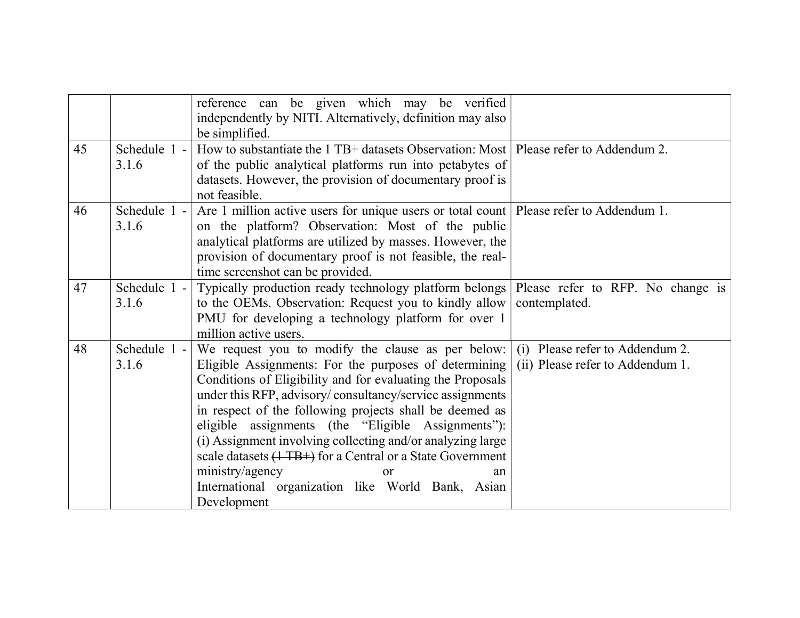|    |                       | reference can be given which may be verified<br>independently by NITI. Alternatively, definition may also<br>be simplified.                                                                                                                                                                                                                                                                                                                                                                                                                                                                    |                                                                     |
|----|-----------------------|------------------------------------------------------------------------------------------------------------------------------------------------------------------------------------------------------------------------------------------------------------------------------------------------------------------------------------------------------------------------------------------------------------------------------------------------------------------------------------------------------------------------------------------------------------------------------------------------|---------------------------------------------------------------------|
| 45 | Schedule 1 -<br>3.1.6 | How to substantiate the 1 TB+ datasets Observation: Most   Please refer to Addendum 2.<br>of the public analytical platforms run into petabytes of<br>datasets. However, the provision of documentary proof is<br>not feasible.                                                                                                                                                                                                                                                                                                                                                                |                                                                     |
| 46 | Schedule 1 -<br>3.1.6 | Are 1 million active users for unique users or total count   Please refer to Addendum 1.<br>on the platform? Observation: Most of the public<br>analytical platforms are utilized by masses. However, the<br>provision of documentary proof is not feasible, the real-<br>time screenshot can be provided.                                                                                                                                                                                                                                                                                     |                                                                     |
| 47 | Schedule 1 -<br>3.1.6 | Typically production ready technology platform belongs<br>to the OEMs. Observation: Request you to kindly allow<br>PMU for developing a technology platform for over 1<br>million active users.                                                                                                                                                                                                                                                                                                                                                                                                | Please refer to RFP. No change is<br>contemplated.                  |
| 48 | Schedule 1 -<br>3.1.6 | We request you to modify the clause as per below:<br>Eligible Assignments: For the purposes of determining<br>Conditions of Eligibility and for evaluating the Proposals<br>under this RFP, advisory/consultancy/service assignments<br>in respect of the following projects shall be deemed as<br>eligible assignments (the "Eligible Assignments"):<br>(i) Assignment involving collecting and/or analyzing large<br>scale datasets $(1 \text{ TB+})$ for a Central or a State Government<br>ministry/agency<br>or<br>an<br>International organization like World Bank, Asian<br>Development | (i) Please refer to Addendum 2.<br>(ii) Please refer to Addendum 1. |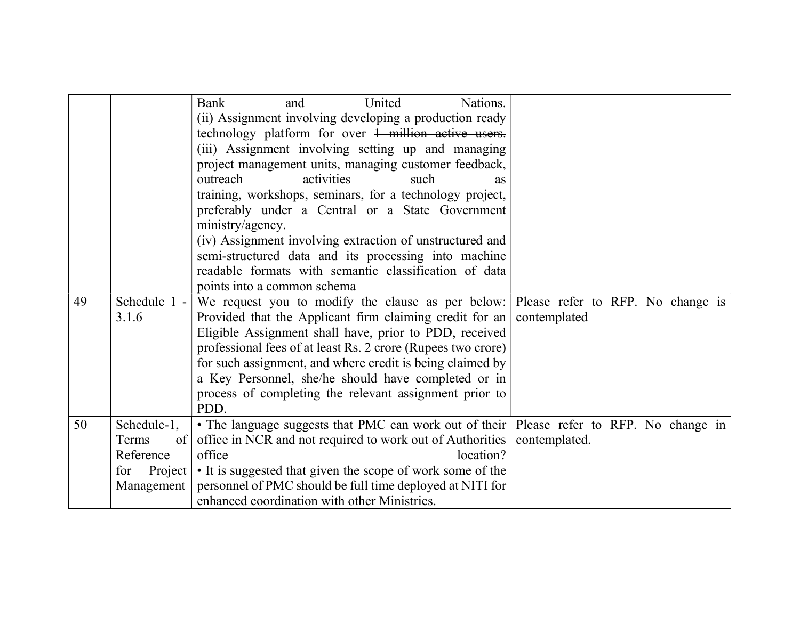|    |                                                                           | United<br>Nations.<br><b>Bank</b><br>and<br>(ii) Assignment involving developing a production ready<br>technology platform for over 1 million active users.<br>(iii) Assignment involving setting up and managing<br>project management units, managing customer feedback,<br>outreach<br>activities<br>such<br>as<br>training, workshops, seminars, for a technology project,<br>preferably under a Central or a State Government<br>ministry/agency.<br>(iv) Assignment involving extraction of unstructured and |               |
|----|---------------------------------------------------------------------------|--------------------------------------------------------------------------------------------------------------------------------------------------------------------------------------------------------------------------------------------------------------------------------------------------------------------------------------------------------------------------------------------------------------------------------------------------------------------------------------------------------------------|---------------|
|    |                                                                           | semi-structured data and its processing into machine                                                                                                                                                                                                                                                                                                                                                                                                                                                               |               |
|    |                                                                           | readable formats with semantic classification of data<br>points into a common schema                                                                                                                                                                                                                                                                                                                                                                                                                               |               |
| 49 | Schedule 1 -<br>3.1.6                                                     | We request you to modify the clause as per below: Please refer to RFP. No change is<br>Provided that the Applicant firm claiming credit for an<br>Eligible Assignment shall have, prior to PDD, received<br>professional fees of at least Rs. 2 crore (Rupees two crore)<br>for such assignment, and where credit is being claimed by<br>a Key Personnel, she/he should have completed or in<br>process of completing the relevant assignment prior to<br>PDD.                                                     | contemplated  |
| 50 | Schedule-1,<br>Terms<br>of<br>Reference<br>Project  <br>for<br>Management | • The language suggests that PMC can work out of their   Please refer to RFP. No change in  <br>office in NCR and not required to work out of Authorities  <br>office<br>location?<br>• It is suggested that given the scope of work some of the<br>personnel of PMC should be full time deployed at NITI for<br>enhanced coordination with other Ministries.                                                                                                                                                      | contemplated. |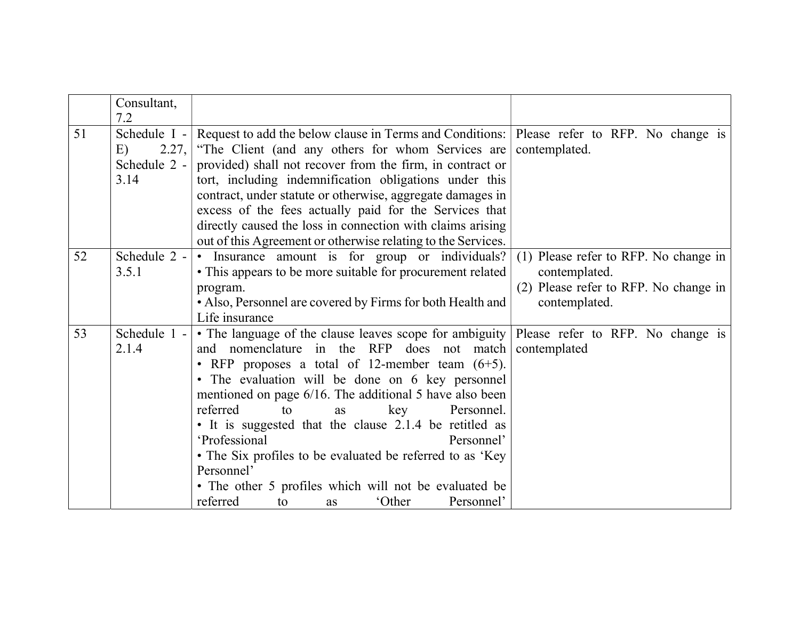|    | Consultant,<br>7.2                                  |                                                                                                                                                                                                                                                                                                                                                                                                                                                                                                                                                                                                                                                |                                                                                                                  |
|----|-----------------------------------------------------|------------------------------------------------------------------------------------------------------------------------------------------------------------------------------------------------------------------------------------------------------------------------------------------------------------------------------------------------------------------------------------------------------------------------------------------------------------------------------------------------------------------------------------------------------------------------------------------------------------------------------------------------|------------------------------------------------------------------------------------------------------------------|
| 51 | Schedule I -<br>2.27,<br>E)<br>Schedule 2 -<br>3.14 | Request to add the below clause in Terms and Conditions: Please refer to RFP. No change is<br>"The Client (and any others for whom Services are<br>provided) shall not recover from the firm, in contract or<br>tort, including indemnification obligations under this<br>contract, under statute or otherwise, aggregate damages in<br>excess of the fees actually paid for the Services that<br>directly caused the loss in connection with claims arising<br>out of this Agreement or otherwise relating to the Services.                                                                                                                   | contemplated.                                                                                                    |
| 52 | Schedule 2 -<br>3.5.1                               | • Insurance amount is for group or individuals?<br>• This appears to be more suitable for procurement related<br>program.<br>• Also, Personnel are covered by Firms for both Health and<br>Life insurance                                                                                                                                                                                                                                                                                                                                                                                                                                      | (1) Please refer to RFP. No change in<br>contemplated.<br>(2) Please refer to RFP. No change in<br>contemplated. |
| 53 | Schedule 1 -<br>2.1.4                               | • The language of the clause leaves scope for ambiguity Please refer to RFP. No change is<br>and nomenclature in the RFP does not match<br>• RFP proposes a total of 12-member team $(6+5)$ .<br>• The evaluation will be done on 6 key personnel<br>mentioned on page 6/16. The additional 5 have also been<br>referred<br>Personnel.<br>to<br>key<br><b>as</b><br>• It is suggested that the clause 2.1.4 be retitled as<br>'Professional<br>Personnel'<br>• The Six profiles to be evaluated be referred to as 'Key'<br>Personnel'<br>• The other 5 profiles which will not be evaluated be<br>referred<br>'Other<br>Personnel'<br>to<br>as | contemplated                                                                                                     |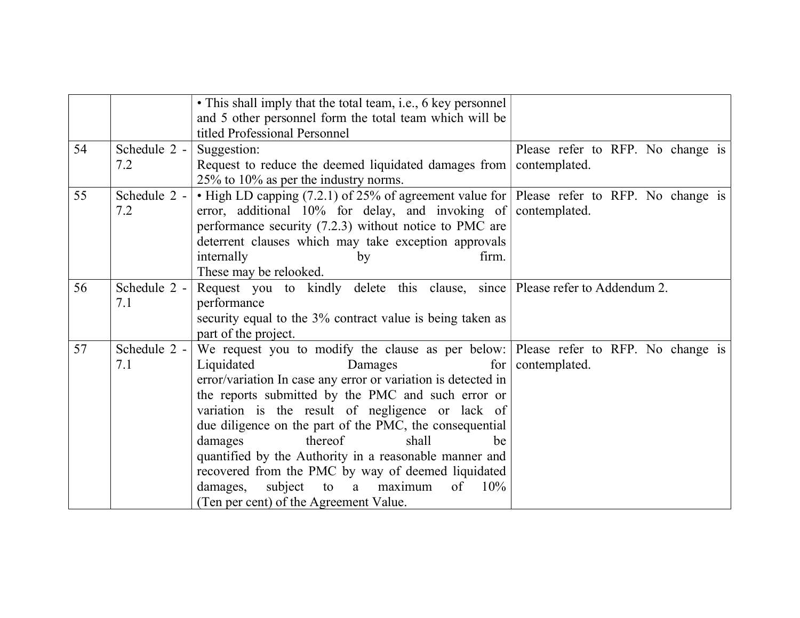|    |                     | • This shall imply that the total team, i.e., 6 key personnel<br>and 5 other personnel form the total team which will be<br>titled Professional Personnel                                                                                                                                                                                                                                                                                                                                                                                                                                                      |                                   |
|----|---------------------|----------------------------------------------------------------------------------------------------------------------------------------------------------------------------------------------------------------------------------------------------------------------------------------------------------------------------------------------------------------------------------------------------------------------------------------------------------------------------------------------------------------------------------------------------------------------------------------------------------------|-----------------------------------|
| 54 | Schedule 2 -<br>7.2 | Suggestion:<br>Request to reduce the deemed liquidated damages from contemplated.<br>25% to 10% as per the industry norms.                                                                                                                                                                                                                                                                                                                                                                                                                                                                                     | Please refer to RFP. No change is |
| 55 | Schedule 2 -<br>7.2 | • High LD capping (7.2.1) of 25% of agreement value for Please refer to RFP. No change is<br>error, additional $10\%$ for delay, and invoking of<br>performance security (7.2.3) without notice to PMC are<br>deterrent clauses which may take exception approvals<br>internally<br>firm.<br>by<br>These may be relooked.                                                                                                                                                                                                                                                                                      | contemplated.                     |
| 56 | Schedule 2 -<br>7.1 | Request you to kindly delete this clause, since Please refer to Addendum 2.<br>performance<br>security equal to the 3% contract value is being taken as<br>part of the project.                                                                                                                                                                                                                                                                                                                                                                                                                                |                                   |
| 57 | Schedule 2 -<br>7.1 | We request you to modify the clause as per below: Please refer to RFP. No change is<br>Liquidated<br>Damages<br>for  <br>error/variation In case any error or variation is detected in<br>the reports submitted by the PMC and such error or<br>variation is the result of negligence or lack of<br>due diligence on the part of the PMC, the consequential<br>thereof<br>shall<br>damages<br>be<br>quantified by the Authority in a reasonable manner and<br>recovered from the PMC by way of deemed liquidated<br>damages,<br>subject<br>to a maximum<br>of<br>10%<br>(Ten per cent) of the Agreement Value. | contemplated.                     |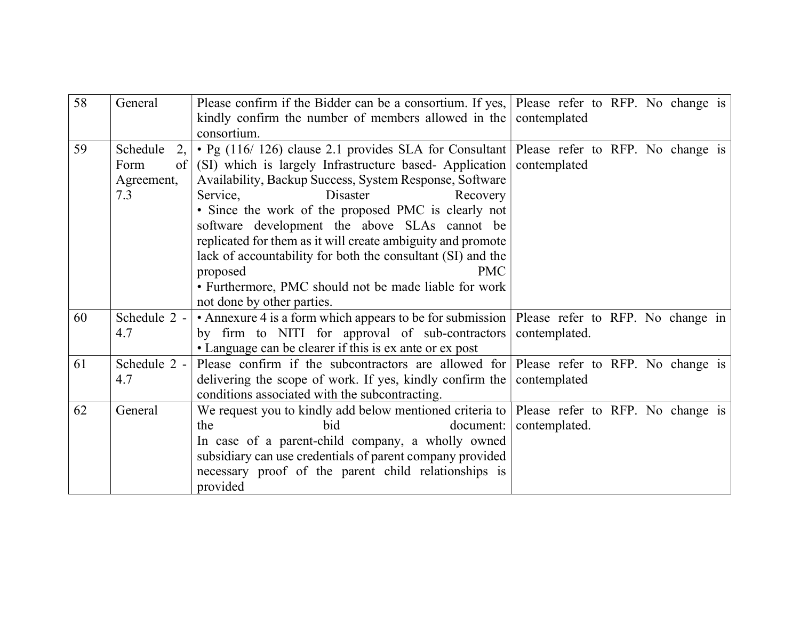| 58 | General          | Please confirm if the Bidder can be a consortium. If yes, Please refer to RFP. No change is<br>kindly confirm the number of members allowed in the contemplated |               |
|----|------------------|-----------------------------------------------------------------------------------------------------------------------------------------------------------------|---------------|
|    |                  | consortium.                                                                                                                                                     |               |
| 59 | Schedule<br>2,   | $\cdot$ Pg (116/126) clause 2.1 provides SLA for Consultant Please refer to RFP. No change is                                                                   |               |
|    | $\sigma$<br>Form | (SI) which is largely Infrastructure based-Application                                                                                                          | contemplated  |
|    | Agreement,       | Availability, Backup Success, System Response, Software                                                                                                         |               |
|    | 7.3              | Disaster<br>Service,<br>Recovery                                                                                                                                |               |
|    |                  | • Since the work of the proposed PMC is clearly not                                                                                                             |               |
|    |                  | software development the above SLAs cannot be                                                                                                                   |               |
|    |                  | replicated for them as it will create ambiguity and promote                                                                                                     |               |
|    |                  | lack of accountability for both the consultant (SI) and the                                                                                                     |               |
|    |                  | proposed<br><b>PMC</b>                                                                                                                                          |               |
|    |                  | • Furthermore, PMC should not be made liable for work                                                                                                           |               |
|    |                  | not done by other parties.                                                                                                                                      |               |
| 60 | Schedule 2 -     | • Annexure 4 is a form which appears to be for submission   Please refer to RFP. No change in                                                                   |               |
|    | 4.7              | by firm to NITI for approval of sub-contractors                                                                                                                 | contemplated. |
|    |                  | • Language can be clearer if this is ex ante or ex post                                                                                                         |               |
| 61 | Schedule 2 -     | Please confirm if the subcontractors are allowed for Please refer to RFP. No change is                                                                          |               |
|    | 4.7              | delivering the scope of work. If yes, kindly confirm the                                                                                                        | contemplated  |
|    |                  | conditions associated with the subcontracting.                                                                                                                  |               |
| 62 | General          | We request you to kindly add below mentioned criteria to   Please refer to RFP. No change is                                                                    |               |
|    |                  | bid<br>document:<br>the                                                                                                                                         | contemplated. |
|    |                  | In case of a parent-child company, a wholly owned                                                                                                               |               |
|    |                  | subsidiary can use credentials of parent company provided                                                                                                       |               |
|    |                  | necessary proof of the parent child relationships is                                                                                                            |               |
|    |                  | provided                                                                                                                                                        |               |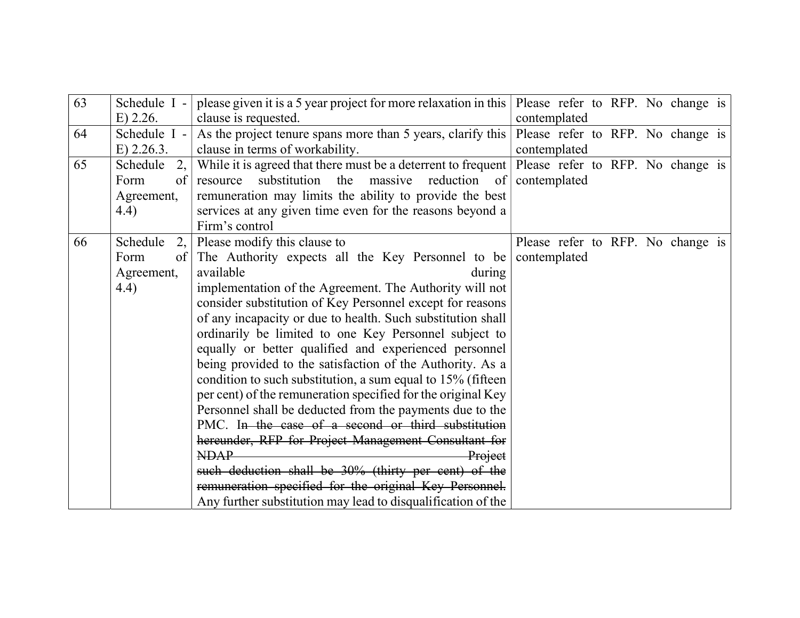| 63 | Schedule I -   | please given it is a 5 year project for more relaxation in this | Please refer to RFP. No change is |
|----|----------------|-----------------------------------------------------------------|-----------------------------------|
|    | $E)$ 2.26.     | clause is requested.                                            | contemplated                      |
| 64 | Schedule I -   | As the project tenure spans more than 5 years, clarify this     | Please refer to RFP. No change is |
|    | $E)$ 2.26.3.   | clause in terms of workability.                                 | contemplated                      |
| 65 | Schedule<br>2, | While it is agreed that there must be a deterrent to frequent   | Please refer to RFP. No change is |
|    | Form<br>of     | massive<br>reduction of<br>substitution the<br>resource         | contemplated                      |
|    | Agreement,     | remuneration may limits the ability to provide the best         |                                   |
|    | (4.4)          | services at any given time even for the reasons beyond a        |                                   |
|    |                | Firm's control                                                  |                                   |
| 66 | Schedule<br>2, | Please modify this clause to                                    | Please refer to RFP. No change is |
|    | of<br>Form     | The Authority expects all the Key Personnel to be               | contemplated                      |
|    | Agreement,     | available<br>during                                             |                                   |
|    | (4.4)          | implementation of the Agreement. The Authority will not         |                                   |
|    |                | consider substitution of Key Personnel except for reasons       |                                   |
|    |                | of any incapacity or due to health. Such substitution shall     |                                   |
|    |                | ordinarily be limited to one Key Personnel subject to           |                                   |
|    |                | equally or better qualified and experienced personnel           |                                   |
|    |                | being provided to the satisfaction of the Authority. As a       |                                   |
|    |                | condition to such substitution, a sum equal to 15% (fifteen     |                                   |
|    |                | per cent) of the remuneration specified for the original Key    |                                   |
|    |                | Personnel shall be deducted from the payments due to the        |                                   |
|    |                | PMC. In the case of a second or third substitution              |                                   |
|    |                | hereunder, RFP for Project Management Consultant for            |                                   |
|    |                | <b>NDAP</b><br>Project                                          |                                   |
|    |                | such deduction shall be 30% (thirty per cent) of the            |                                   |
|    |                | remuneration specified for the original Key Personnel.          |                                   |
|    |                | Any further substitution may lead to disqualification of the    |                                   |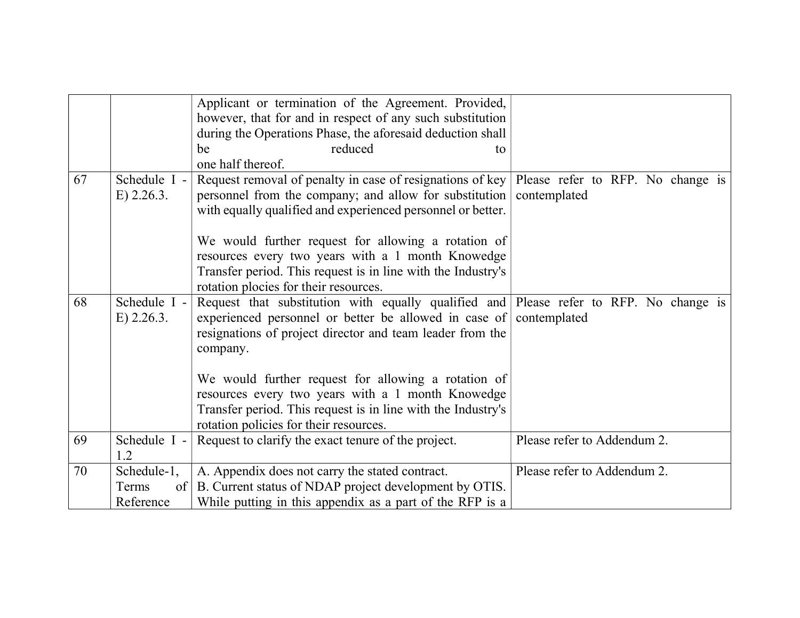|    |                              | Applicant or termination of the Agreement. Provided,<br>however, that for and in respect of any such substitution                                                                                                        |                                                   |
|----|------------------------------|--------------------------------------------------------------------------------------------------------------------------------------------------------------------------------------------------------------------------|---------------------------------------------------|
|    |                              | during the Operations Phase, the aforesaid deduction shall                                                                                                                                                               |                                                   |
|    |                              | reduced<br>be<br>tο                                                                                                                                                                                                      |                                                   |
|    |                              | one half thereof.                                                                                                                                                                                                        |                                                   |
| 67 | Schedule I -<br>$E)$ 2.26.3. | Request removal of penalty in case of resignations of key  <br>personnel from the company; and allow for substitution<br>with equally qualified and experienced personnel or better.                                     | Please refer to RFP. No change is<br>contemplated |
|    |                              | We would further request for allowing a rotation of<br>resources every two years with a 1 month Knowedge<br>Transfer period. This request is in line with the Industry's<br>rotation plocies for their resources.        |                                                   |
| 68 | Schedule I -<br>$E)$ 2.26.3. | Request that substitution with equally qualified and Please refer to RFP. No change is<br>experienced personnel or better be allowed in case of<br>resignations of project director and team leader from the<br>company. | contemplated                                      |
|    |                              | We would further request for allowing a rotation of<br>resources every two years with a 1 month Knowedge<br>Transfer period. This request is in line with the Industry's<br>rotation policies for their resources.       |                                                   |
| 69 | Schedule I -<br>1.2          | Request to clarify the exact tenure of the project.                                                                                                                                                                      | Please refer to Addendum 2.                       |
| 70 | Schedule-1,                  | A. Appendix does not carry the stated contract.                                                                                                                                                                          | Please refer to Addendum 2.                       |
|    | Terms<br>of                  | B. Current status of NDAP project development by OTIS.                                                                                                                                                                   |                                                   |
|    | Reference                    | While putting in this appendix as a part of the RFP is a                                                                                                                                                                 |                                                   |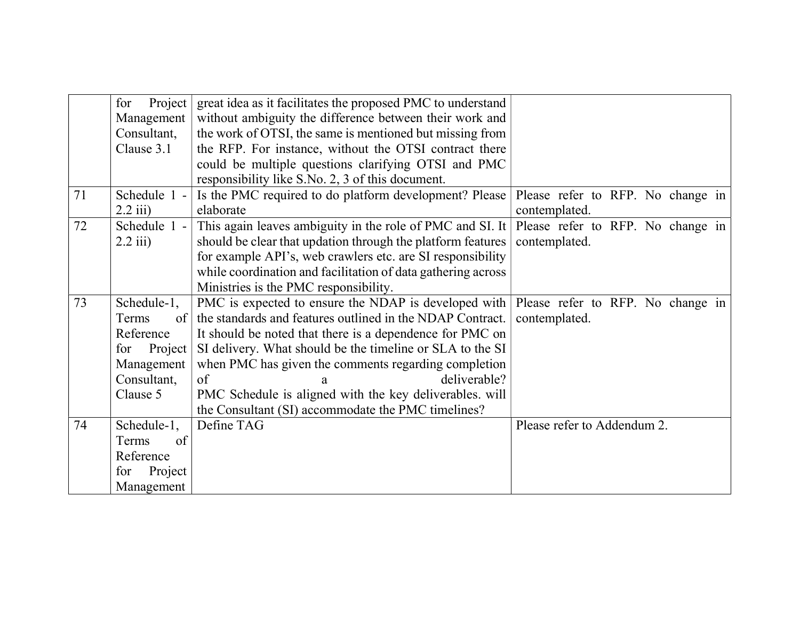|    | Project<br>for | great idea as it facilitates the proposed PMC to understand  |                                   |
|----|----------------|--------------------------------------------------------------|-----------------------------------|
|    | Management     | without ambiguity the difference between their work and      |                                   |
|    | Consultant,    | the work of OTSI, the same is mentioned but missing from     |                                   |
|    | Clause 3.1     | the RFP. For instance, without the OTSI contract there       |                                   |
|    |                | could be multiple questions clarifying OTSI and PMC          |                                   |
|    |                | responsibility like S.No. 2, 3 of this document.             |                                   |
| 71 | Schedule 1 -   | Is the PMC required to do platform development? Please       | Please refer to RFP. No change in |
|    | $2.2$ iii)     | elaborate                                                    | contemplated.                     |
| 72 | Schedule 1 -   | This again leaves ambiguity in the role of PMC and SI. It    | Please refer to RFP. No change in |
|    | $2.2$ iii)     | should be clear that updation through the platform features  | contemplated.                     |
|    |                | for example API's, web crawlers etc. are SI responsibility   |                                   |
|    |                | while coordination and facilitation of data gathering across |                                   |
|    |                | Ministries is the PMC responsibility.                        |                                   |
| 73 | Schedule-1,    | PMC is expected to ensure the NDAP is developed with         | Please refer to RFP. No change in |
|    | Terms<br>of    | the standards and features outlined in the NDAP Contract.    | contemplated.                     |
|    | Reference      | It should be noted that there is a dependence for PMC on     |                                   |
|    | Project<br>for | SI delivery. What should be the timeline or SLA to the SI    |                                   |
|    | Management     | when PMC has given the comments regarding completion         |                                   |
|    | Consultant,    | deliverable?<br>of<br>a                                      |                                   |
|    | Clause 5       | PMC Schedule is aligned with the key deliverables. will      |                                   |
|    |                | the Consultant (SI) accommodate the PMC timelines?           |                                   |
| 74 | Schedule-1,    | Define TAG                                                   | Please refer to Addendum 2.       |
|    | of<br>Terms    |                                                              |                                   |
|    | Reference      |                                                              |                                   |
|    | for<br>Project |                                                              |                                   |
|    | Management     |                                                              |                                   |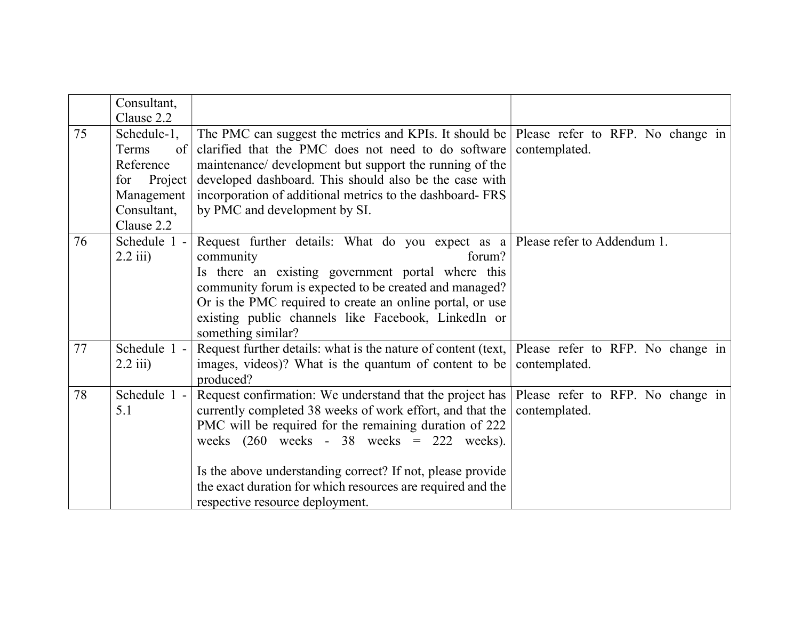|    | Consultant,    |                                                                                          |                                   |
|----|----------------|------------------------------------------------------------------------------------------|-----------------------------------|
|    | Clause 2.2     |                                                                                          |                                   |
| 75 | Schedule-1,    | The PMC can suggest the metrics and KPIs. It should be Please refer to RFP. No change in |                                   |
|    | Terms<br>of    | clarified that the PMC does not need to do software                                      | contemplated.                     |
|    | Reference      | maintenance/ development but support the running of the                                  |                                   |
|    | Project<br>for | developed dashboard. This should also be the case with                                   |                                   |
|    | Management     | incorporation of additional metrics to the dashboard- FRS                                |                                   |
|    | Consultant,    | by PMC and development by SI.                                                            |                                   |
|    | Clause 2.2     |                                                                                          |                                   |
| 76 | Schedule 1 -   | Request further details: What do you expect as a Please refer to Addendum 1.             |                                   |
|    | $2.2$ iii)     | community<br>forum?                                                                      |                                   |
|    |                | Is there an existing government portal where this                                        |                                   |
|    |                | community forum is expected to be created and managed?                                   |                                   |
|    |                | Or is the PMC required to create an online portal, or use                                |                                   |
|    |                | existing public channels like Facebook, LinkedIn or                                      |                                   |
|    |                | something similar?                                                                       |                                   |
| 77 | Schedule 1 -   | Request further details: what is the nature of content (text, $\vert$                    | Please refer to RFP. No change in |
|    | $2.2$ iii)     | images, videos)? What is the quantum of content to be                                    | contemplated.                     |
|    |                | produced?                                                                                |                                   |
| 78 | Schedule 1 -   | Request confirmation: We understand that the project has                                 | Please refer to RFP. No change in |
|    | 5.1            | currently completed 38 weeks of work effort, and that the                                | contemplated.                     |
|    |                | PMC will be required for the remaining duration of 222                                   |                                   |
|    |                | weeks $(260 \text{ weeks} - 38 \text{ weeks} = 222 \text{ weeks}).$                      |                                   |
|    |                |                                                                                          |                                   |
|    |                | Is the above understanding correct? If not, please provide                               |                                   |
|    |                | the exact duration for which resources are required and the                              |                                   |
|    |                | respective resource deployment.                                                          |                                   |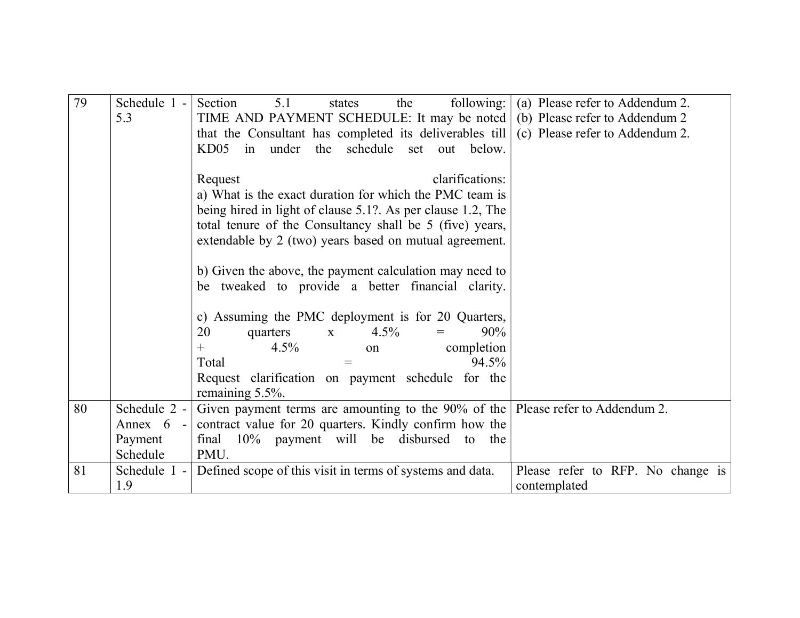| 79 | Schedule 1 -           | following: $\vert$<br>5.1<br>Section<br>the<br>states                                                                                        | (a) Please refer to Addendum 2.                   |
|----|------------------------|----------------------------------------------------------------------------------------------------------------------------------------------|---------------------------------------------------|
|    | 5.3                    | TIME AND PAYMENT SCHEDULE: It may be noted (b) Please refer to Addendum 2                                                                    |                                                   |
|    |                        | that the Consultant has completed its deliverables till                                                                                      | (c) Please refer to Addendum 2.                   |
|    |                        | in under the schedule<br>KD05<br>set out below.                                                                                              |                                                   |
|    |                        |                                                                                                                                              |                                                   |
|    |                        | clarifications:<br>Request                                                                                                                   |                                                   |
|    |                        | a) What is the exact duration for which the PMC team is                                                                                      |                                                   |
|    |                        | being hired in light of clause 5.1?. As per clause 1.2, The                                                                                  |                                                   |
|    |                        | total tenure of the Consultancy shall be 5 (five) years,                                                                                     |                                                   |
|    |                        | extendable by 2 (two) years based on mutual agreement.                                                                                       |                                                   |
|    |                        |                                                                                                                                              |                                                   |
|    |                        | b) Given the above, the payment calculation may need to                                                                                      |                                                   |
|    |                        | be tweaked to provide a better financial clarity.                                                                                            |                                                   |
|    |                        |                                                                                                                                              |                                                   |
|    |                        | c) Assuming the PMC deployment is for 20 Quarters,                                                                                           |                                                   |
|    |                        | 20<br>4.5%<br>90%<br>quarters<br>$\mathbf{X}$                                                                                                |                                                   |
|    |                        | completion<br>$4.5\%$<br>$^{+}$<br>on                                                                                                        |                                                   |
|    |                        | Total<br>94.5%<br>$=$                                                                                                                        |                                                   |
|    |                        | Request clarification on payment schedule for the                                                                                            |                                                   |
| 80 | Schedule $2 -$         | remaining 5.5%.                                                                                                                              |                                                   |
|    |                        | Given payment terms are amounting to the $90\%$ of the Please refer to Addendum 2.<br>contract value for 20 quarters. Kindly confirm how the |                                                   |
|    | Annex $6 -$<br>Payment | the<br>to                                                                                                                                    |                                                   |
|    | Schedule               | final 10% payment will be disbursed<br>PMU.                                                                                                  |                                                   |
| 81 | Schedule $I -$         | Defined scope of this visit in terms of systems and data.                                                                                    |                                                   |
|    | 1.9                    |                                                                                                                                              | Please refer to RFP. No change is<br>contemplated |
|    |                        |                                                                                                                                              |                                                   |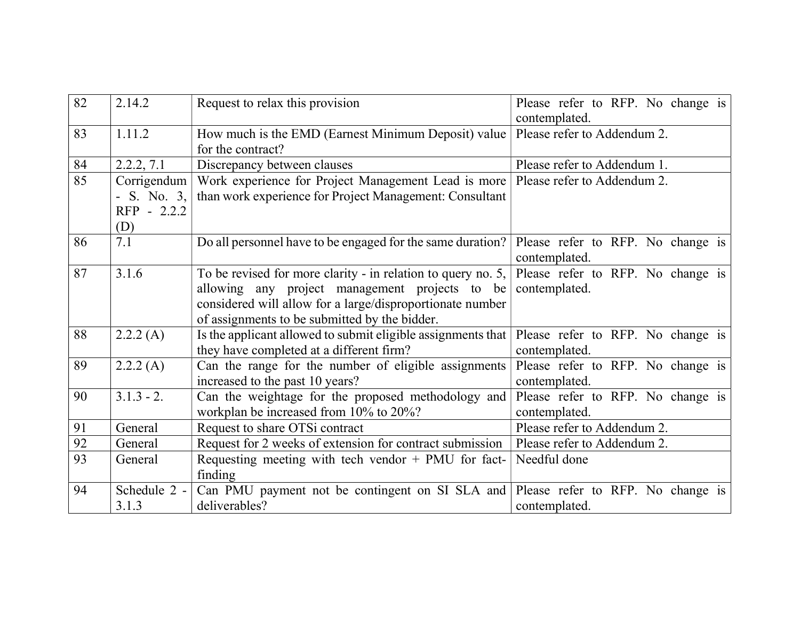| 82 | 2.14.2                                             | Request to relax this provision                                                                                                                                                                                              | Please refer to RFP. No change is<br>contemplated. |
|----|----------------------------------------------------|------------------------------------------------------------------------------------------------------------------------------------------------------------------------------------------------------------------------------|----------------------------------------------------|
| 83 | 1.11.2                                             | How much is the EMD (Earnest Minimum Deposit) value<br>for the contract?                                                                                                                                                     | Please refer to Addendum 2.                        |
| 84 | 2.2.2, 7.1                                         | Discrepancy between clauses                                                                                                                                                                                                  | Please refer to Addendum 1.                        |
| 85 | Corrigendum<br>- S. No. $3,$<br>RFP - 2.2.2<br>(D) | Work experience for Project Management Lead is more<br>than work experience for Project Management: Consultant                                                                                                               | Please refer to Addendum 2.                        |
| 86 | 7.1                                                | Do all personnel have to be engaged for the same duration?                                                                                                                                                                   | Please refer to RFP. No change is<br>contemplated. |
| 87 | 3.1.6                                              | To be revised for more clarity - in relation to query no. 5,<br>allowing any project management projects to be<br>considered will allow for a large/disproportionate number<br>of assignments to be submitted by the bidder. | Please refer to RFP. No change is<br>contemplated. |
| 88 | 2.2.2(A)                                           | Is the applicant allowed to submit eligible assignments that<br>they have completed at a different firm?                                                                                                                     | Please refer to RFP. No change is<br>contemplated. |
| 89 | 2.2.2(A)                                           | Can the range for the number of eligible assignments<br>increased to the past 10 years?                                                                                                                                      | Please refer to RFP. No change is<br>contemplated. |
| 90 | $3.1.3 - 2.$                                       | Can the weightage for the proposed methodology and<br>workplan be increased from 10% to 20%?                                                                                                                                 | Please refer to RFP. No change is<br>contemplated. |
| 91 | General                                            | Request to share OTSi contract                                                                                                                                                                                               | Please refer to Addendum 2.                        |
| 92 | General                                            | Request for 2 weeks of extension for contract submission                                                                                                                                                                     | Please refer to Addendum 2.                        |
| 93 | General                                            | Requesting meeting with tech vendor $+$ PMU for fact-<br>finding                                                                                                                                                             | Needful done                                       |
| 94 | Schedule 2 -<br>3.1.3                              | Can PMU payment not be contingent on SI SLA and  <br>deliverables?                                                                                                                                                           | Please refer to RFP. No change is<br>contemplated. |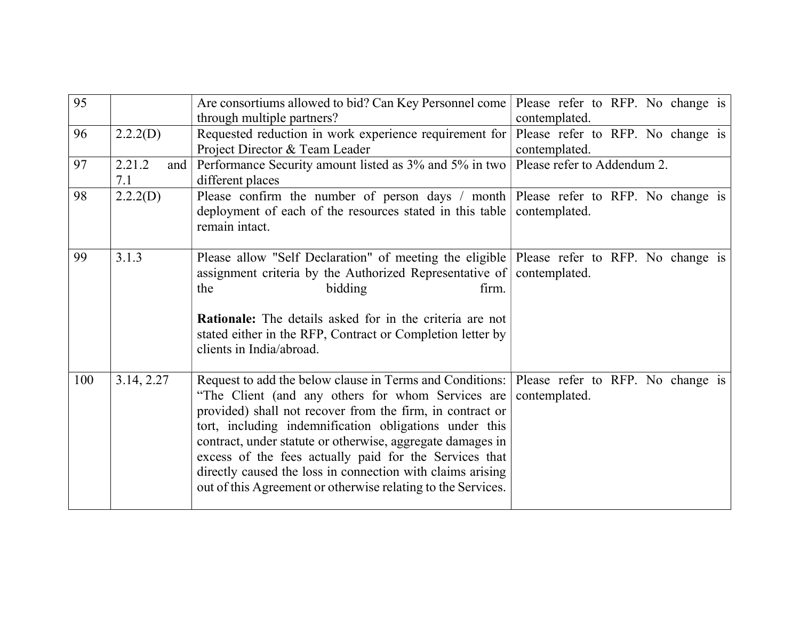| 95  |                      | Are consortiums allowed to bid? Can Key Personnel come<br>through multiple partners?                                                                                                                                                                                                                                                                                                                                                                                                         | Please refer to RFP. No change is<br>contemplated. |
|-----|----------------------|----------------------------------------------------------------------------------------------------------------------------------------------------------------------------------------------------------------------------------------------------------------------------------------------------------------------------------------------------------------------------------------------------------------------------------------------------------------------------------------------|----------------------------------------------------|
| 96  | 2.2.2(D)             | Requested reduction in work experience requirement for<br>Project Director & Team Leader                                                                                                                                                                                                                                                                                                                                                                                                     | Please refer to RFP. No change is<br>contemplated. |
| 97  | 2.21.2<br>and<br>7.1 | Performance Security amount listed as 3% and 5% in two<br>different places                                                                                                                                                                                                                                                                                                                                                                                                                   | Please refer to Addendum 2.                        |
| 98  | 2.2.2(D)             | Please confirm the number of person days / month Please refer to RFP. No change is<br>deployment of each of the resources stated in this table<br>remain intact.                                                                                                                                                                                                                                                                                                                             | contemplated.                                      |
| 99  | 3.1.3                | Please allow "Self Declaration" of meeting the eligible Please refer to RFP. No change is<br>assignment criteria by the Authorized Representative of contemplated.<br>bidding<br>the<br>firm.<br><b>Rationale:</b> The details asked for in the criteria are not<br>stated either in the RFP, Contract or Completion letter by<br>clients in India/abroad.                                                                                                                                   |                                                    |
| 100 | 3.14, 2.27           | Request to add the below clause in Terms and Conditions:  <br>"The Client (and any others for whom Services are<br>provided) shall not recover from the firm, in contract or<br>tort, including indemnification obligations under this<br>contract, under statute or otherwise, aggregate damages in<br>excess of the fees actually paid for the Services that<br>directly caused the loss in connection with claims arising<br>out of this Agreement or otherwise relating to the Services. | Please refer to RFP. No change is<br>contemplated. |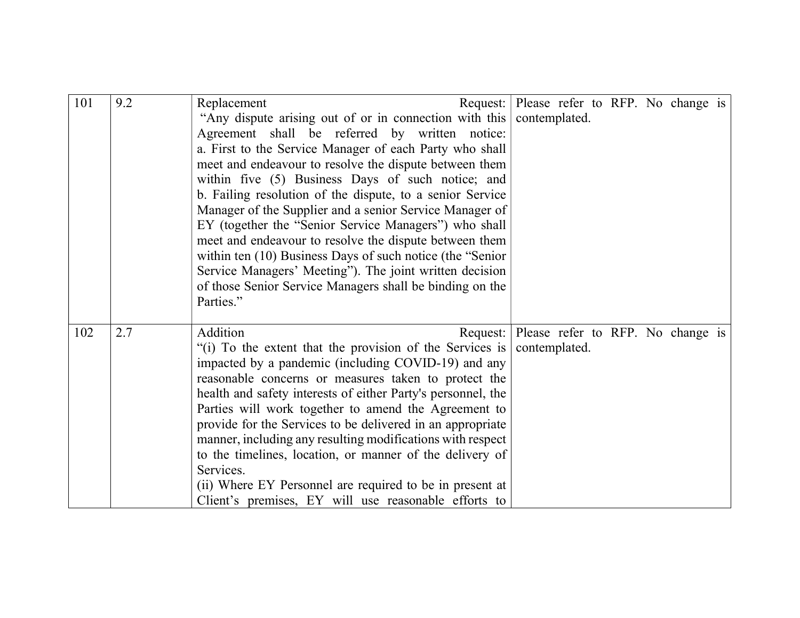| 101 | 9.2 | Request: Please refer to RFP. No change is<br>Replacement              |               |  |  |  |
|-----|-----|------------------------------------------------------------------------|---------------|--|--|--|
|     |     | "Any dispute arising out of or in connection with this                 | contemplated. |  |  |  |
|     |     |                                                                        |               |  |  |  |
|     |     | Agreement shall be referred by written notice:                         |               |  |  |  |
|     |     | a. First to the Service Manager of each Party who shall                |               |  |  |  |
|     |     | meet and endeavour to resolve the dispute between them                 |               |  |  |  |
|     |     | within five (5) Business Days of such notice; and                      |               |  |  |  |
|     |     | b. Failing resolution of the dispute, to a senior Service              |               |  |  |  |
|     |     | Manager of the Supplier and a senior Service Manager of                |               |  |  |  |
|     |     | EY (together the "Senior Service Managers") who shall                  |               |  |  |  |
|     |     | meet and endeavour to resolve the dispute between them                 |               |  |  |  |
|     |     | within ten (10) Business Days of such notice (the "Senior              |               |  |  |  |
|     |     | Service Managers' Meeting"). The joint written decision                |               |  |  |  |
|     |     | of those Senior Service Managers shall be binding on the               |               |  |  |  |
|     |     | Parties."                                                              |               |  |  |  |
|     |     |                                                                        |               |  |  |  |
| 102 | 2.7 | Addition<br>Request: Please refer to RFP. No change is                 |               |  |  |  |
|     |     | "(i) To the extent that the provision of the Services is contemplated. |               |  |  |  |
|     |     | impacted by a pandemic (including COVID-19) and any                    |               |  |  |  |
|     |     | reasonable concerns or measures taken to protect the                   |               |  |  |  |
|     |     | health and safety interests of either Party's personnel, the           |               |  |  |  |
|     |     | Parties will work together to amend the Agreement to                   |               |  |  |  |
|     |     | provide for the Services to be delivered in an appropriate             |               |  |  |  |
|     |     | manner, including any resulting modifications with respect             |               |  |  |  |
|     |     | to the timelines, location, or manner of the delivery of               |               |  |  |  |
|     |     | Services.                                                              |               |  |  |  |
|     |     |                                                                        |               |  |  |  |
|     |     | (ii) Where EY Personnel are required to be in present at               |               |  |  |  |
|     |     | Client's premises, EY will use reasonable efforts to                   |               |  |  |  |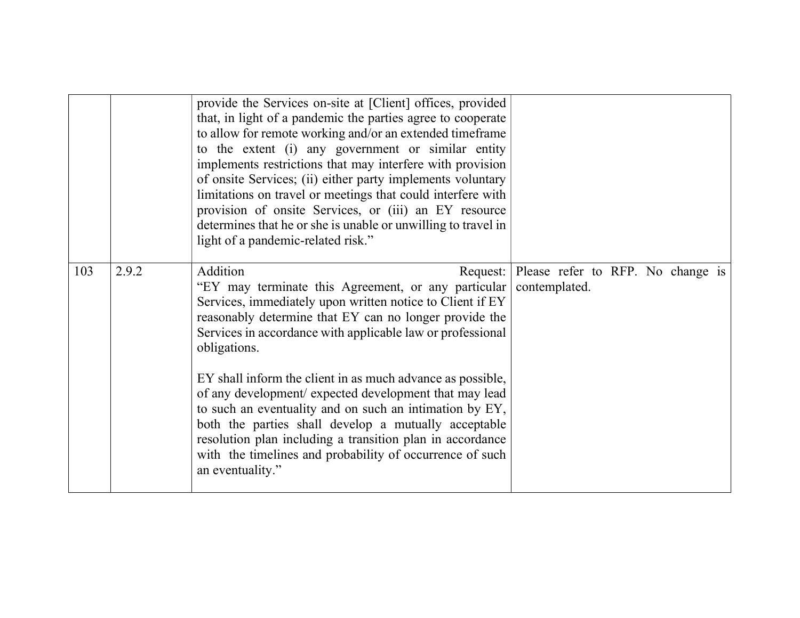|     |       | provide the Services on-site at [Client] offices, provided<br>that, in light of a pandemic the parties agree to cooperate<br>to allow for remote working and/or an extended timeframe<br>to the extent (i) any government or similar entity<br>implements restrictions that may interfere with provision<br>of onsite Services; (ii) either party implements voluntary<br>limitations on travel or meetings that could interfere with<br>provision of onsite Services, or (iii) an EY resource<br>determines that he or she is unable or unwilling to travel in<br>light of a pandemic-related risk."                                                                                                      |               |  |  |  |
|-----|-------|------------------------------------------------------------------------------------------------------------------------------------------------------------------------------------------------------------------------------------------------------------------------------------------------------------------------------------------------------------------------------------------------------------------------------------------------------------------------------------------------------------------------------------------------------------------------------------------------------------------------------------------------------------------------------------------------------------|---------------|--|--|--|
| 103 | 2.9.2 | Addition<br>Request: Please refer to RFP. No change is<br>"EY may terminate this Agreement, or any particular<br>Services, immediately upon written notice to Client if EY<br>reasonably determine that EY can no longer provide the<br>Services in accordance with applicable law or professional<br>obligations.<br>EY shall inform the client in as much advance as possible,<br>of any development/ expected development that may lead<br>to such an eventuality and on such an intimation by EY,<br>both the parties shall develop a mutually acceptable<br>resolution plan including a transition plan in accordance<br>with the timelines and probability of occurrence of such<br>an eventuality." | contemplated. |  |  |  |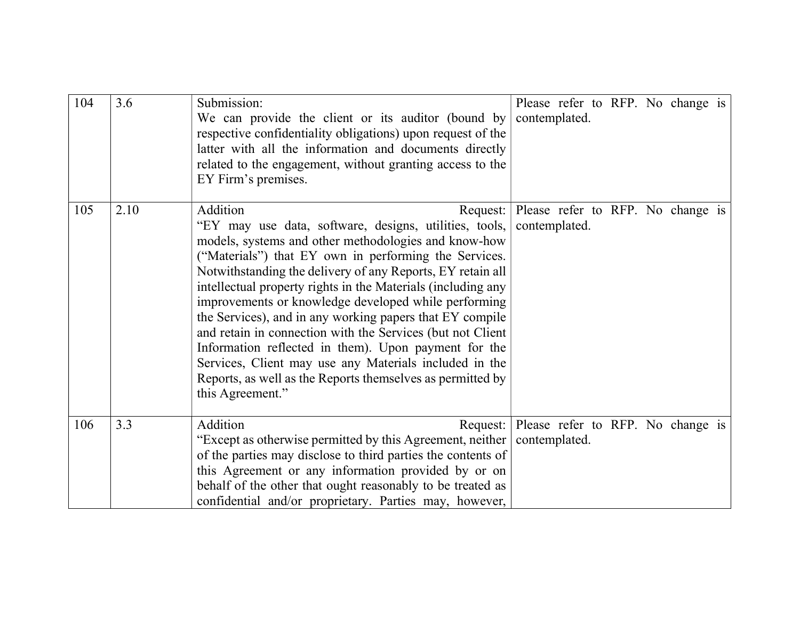| 104 | 3.6  | Submission:<br>We can provide the client or its auditor (bound by<br>respective confidentiality obligations) upon request of the<br>latter with all the information and documents directly<br>related to the engagement, without granting access to the<br>EY Firm's premises.                                                                                                                                                                                                                                                                                                                                                                                                                          | Please refer to RFP. No change is<br>contemplated.          |  |  |
|-----|------|---------------------------------------------------------------------------------------------------------------------------------------------------------------------------------------------------------------------------------------------------------------------------------------------------------------------------------------------------------------------------------------------------------------------------------------------------------------------------------------------------------------------------------------------------------------------------------------------------------------------------------------------------------------------------------------------------------|-------------------------------------------------------------|--|--|
| 105 | 2.10 | Addition<br>"EY may use data, software, designs, utilities, tools,<br>models, systems and other methodologies and know-how<br>("Materials") that EY own in performing the Services.<br>Notwithstanding the delivery of any Reports, EY retain all<br>intellectual property rights in the Materials (including any<br>improvements or knowledge developed while performing<br>the Services), and in any working papers that EY compile<br>and retain in connection with the Services (but not Client<br>Information reflected in them). Upon payment for the<br>Services, Client may use any Materials included in the<br>Reports, as well as the Reports themselves as permitted by<br>this Agreement." | Request: Please refer to RFP. No change is<br>contemplated. |  |  |
| 106 | 3.3  | Addition<br>"Except as otherwise permitted by this Agreement, neither   contemplated.<br>of the parties may disclose to third parties the contents of<br>this Agreement or any information provided by or on<br>behalf of the other that ought reasonably to be treated as<br>confidential and/or proprietary. Parties may, however,                                                                                                                                                                                                                                                                                                                                                                    | Request: Please refer to RFP. No change is                  |  |  |